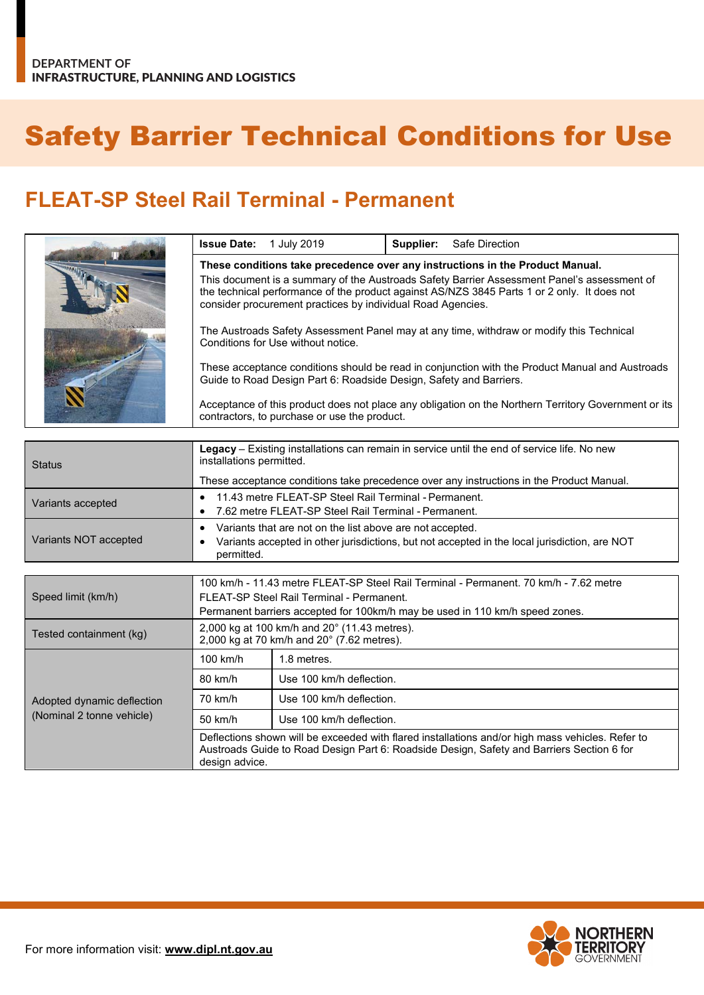## Safety Barrier Technical Conditions for Use

## **FLEAT-SP Steel Rail Terminal - Permanent**

| <b>Issue Date:</b> | 1 July 2019                                                        | Supplier: | Safe Direction                                                                                                                                                                             |
|--------------------|--------------------------------------------------------------------|-----------|--------------------------------------------------------------------------------------------------------------------------------------------------------------------------------------------|
|                    |                                                                    |           | These conditions take precedence over any instructions in the Product Manual.                                                                                                              |
|                    | consider procurement practices by individual Road Agencies.        |           | This document is a summary of the Austroads Safety Barrier Assessment Panel's assessment of<br>the technical performance of the product against AS/NZS 3845 Parts 1 or 2 only. It does not |
|                    | Conditions for Use without notice.                                 |           | The Austroads Safety Assessment Panel may at any time, withdraw or modify this Technical                                                                                                   |
|                    | Guide to Road Design Part 6: Roadside Design, Safety and Barriers. |           | These acceptance conditions should be read in conjunction with the Product Manual and Austroads                                                                                            |
|                    | contractors, to purchase or use the product.                       |           | Acceptance of this product does not place any obligation on the Northern Territory Government or its                                                                                       |

| <b>Status</b>              | Legacy – Existing installations can remain in service until the end of service life. No new<br>installations permitted. |                                                                                                                                                                                               |  |
|----------------------------|-------------------------------------------------------------------------------------------------------------------------|-----------------------------------------------------------------------------------------------------------------------------------------------------------------------------------------------|--|
|                            |                                                                                                                         | These acceptance conditions take precedence over any instructions in the Product Manual.                                                                                                      |  |
| Variants accepted          | 11.43 metre FLEAT-SP Steel Rail Terminal - Permanent.<br>$\bullet$                                                      |                                                                                                                                                                                               |  |
|                            | 7.62 metre FLEAT-SP Steel Rail Terminal - Permanent.<br>٠                                                               |                                                                                                                                                                                               |  |
|                            | Variants that are not on the list above are not accepted.<br>$\bullet$                                                  |                                                                                                                                                                                               |  |
| Variants NOT accepted      | Variants accepted in other jurisdictions, but not accepted in the local jurisdiction, are NOT<br>٠<br>permitted.        |                                                                                                                                                                                               |  |
|                            |                                                                                                                         |                                                                                                                                                                                               |  |
|                            |                                                                                                                         | 100 km/h - 11.43 metre FLEAT-SP Steel Rail Terminal - Permanent, 70 km/h - 7.62 metre                                                                                                         |  |
| Speed limit (km/h)         | FLEAT-SP Steel Rail Terminal - Permanent.                                                                               |                                                                                                                                                                                               |  |
|                            |                                                                                                                         | Permanent barriers accepted for 100km/h may be used in 110 km/h speed zones.                                                                                                                  |  |
| Tested containment (kg)    | 2,000 kg at 100 km/h and 20° (11.43 metres).<br>2,000 kg at 70 km/h and $20^{\circ}$ (7.62 metres).                     |                                                                                                                                                                                               |  |
|                            | $100$ km/h                                                                                                              | 1.8 metres.                                                                                                                                                                                   |  |
|                            | 80 km/h                                                                                                                 | Use 100 km/h deflection.                                                                                                                                                                      |  |
| Adopted dynamic deflection | 70 km/h                                                                                                                 | Use 100 km/h deflection.                                                                                                                                                                      |  |
| (Nominal 2 tonne vehicle)  | 50 km/h                                                                                                                 | Use 100 km/h deflection.                                                                                                                                                                      |  |
|                            | design advice.                                                                                                          | Deflections shown will be exceeded with flared installations and/or high mass vehicles. Refer to<br>Austroads Guide to Road Design Part 6: Roadside Design, Safety and Barriers Section 6 for |  |

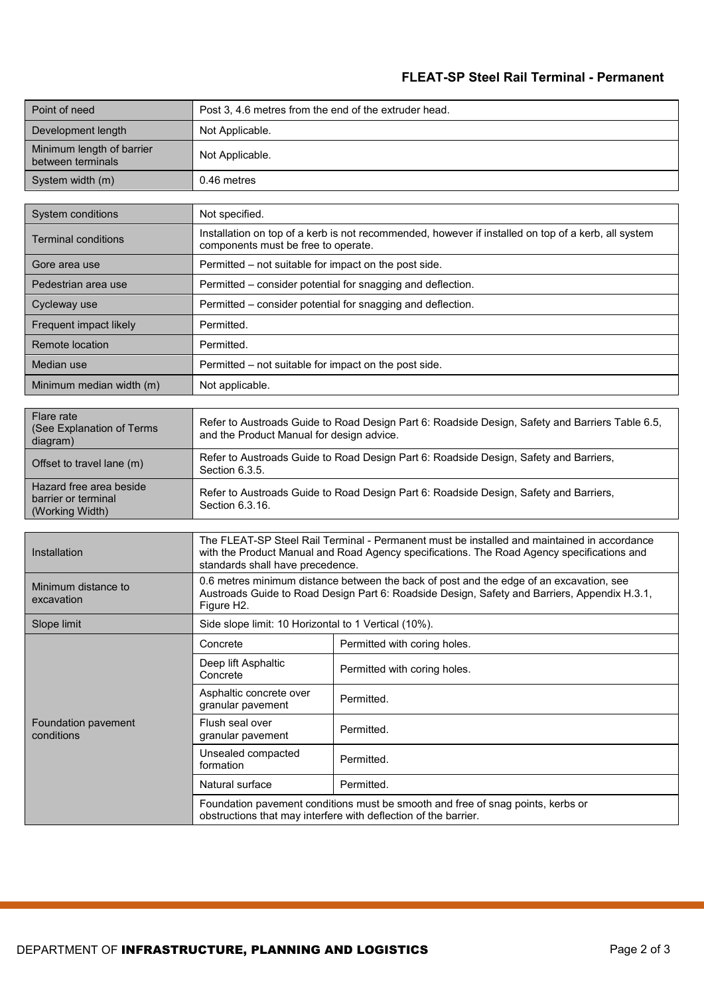## **FLEAT-SP Steel Rail Terminal - Permanent**

| Point of need                                  | Post 3, 4.6 metres from the end of the extruder head. |
|------------------------------------------------|-------------------------------------------------------|
| Development length                             | Not Applicable.                                       |
| Minimum length of barrier<br>between terminals | Not Applicable.                                       |
| System width (m)                               | 0.46 metres                                           |

| System conditions          | Not specified.                                                                                                                             |
|----------------------------|--------------------------------------------------------------------------------------------------------------------------------------------|
| <b>Terminal conditions</b> | Installation on top of a kerb is not recommended, however if installed on top of a kerb, all system<br>components must be free to operate. |
| Gore area use              | Permitted – not suitable for impact on the post side.                                                                                      |
| Pedestrian area use        | Permitted – consider potential for snagging and deflection.                                                                                |
| Cycleway use               | Permitted – consider potential for snagging and deflection.                                                                                |
| Frequent impact likely     | Permitted.                                                                                                                                 |
| Remote location            | Permitted.                                                                                                                                 |
| Median use                 | Permitted – not suitable for impact on the post side.                                                                                      |
| Minimum median width (m)   | Not applicable.                                                                                                                            |

| Flare rate<br>(See Explanation of Terms<br>diagram)               | Refer to Austroads Guide to Road Design Part 6: Roadside Design, Safety and Barriers Table 6.5,<br>and the Product Manual for design advice. |
|-------------------------------------------------------------------|----------------------------------------------------------------------------------------------------------------------------------------------|
| Offset to travel lane (m)                                         | Refer to Austroads Guide to Road Design Part 6: Roadside Design, Safety and Barriers,<br>Section 6.3.5.                                      |
| Hazard free area beside<br>barrier or terminal<br>(Working Width) | Refer to Austroads Guide to Road Design Part 6: Roadside Design, Safety and Barriers,<br>Section 6.3.16.                                     |

| Installation                      | The FLEAT-SP Steel Rail Terminal - Permanent must be installed and maintained in accordance<br>with the Product Manual and Road Agency specifications. The Road Agency specifications and<br>standards shall have precedence. |                              |  |
|-----------------------------------|-------------------------------------------------------------------------------------------------------------------------------------------------------------------------------------------------------------------------------|------------------------------|--|
| Minimum distance to<br>excavation | 0.6 metres minimum distance between the back of post and the edge of an excavation, see<br>Austroads Guide to Road Design Part 6: Roadside Design, Safety and Barriers, Appendix H.3.1,<br>Figure H <sub>2</sub> .            |                              |  |
| Slope limit                       | Side slope limit: 10 Horizontal to 1 Vertical (10%).                                                                                                                                                                          |                              |  |
| Foundation pavement<br>conditions | Concrete                                                                                                                                                                                                                      | Permitted with coring holes. |  |
|                                   | Deep lift Asphaltic<br>Concrete                                                                                                                                                                                               | Permitted with coring holes. |  |
|                                   | Asphaltic concrete over<br>granular pavement                                                                                                                                                                                  | Permitted.                   |  |
|                                   | Flush seal over<br>granular pavement                                                                                                                                                                                          | Permitted.                   |  |
|                                   | Unsealed compacted<br>formation                                                                                                                                                                                               | Permitted.                   |  |
|                                   | Natural surface                                                                                                                                                                                                               | Permitted.                   |  |
|                                   | Foundation pavement conditions must be smooth and free of snag points, kerbs or<br>obstructions that may interfere with deflection of the barrier.                                                                            |                              |  |